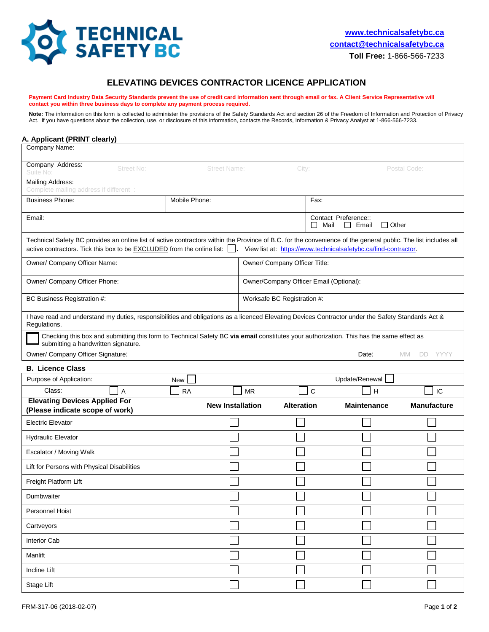

## **ELEVATING DEVICES CONTRACTOR LICENCE APPLICATION**

Payment Card Industry Data Security Standards prevent the use of credit card information sent through email or fax. A Client Service Representative will **contact you within three business days to complete any payment process required.** 

Note: The information on this form is collected to administer the provisions of the Safety Standards Act and section 26 of the Freedom of Information and Protection of Privacy Act. If you have questions about the collection, use, or disclosure of this information, contacts the Records, Information & Privacy Analyst at 1-866-566-7233.

| A. Applicant (PRINT clearly)<br>Company Name:                                                                                                                                                                                                                                                                       |               |                         |                             |                                                              |                      |  |  |  |
|---------------------------------------------------------------------------------------------------------------------------------------------------------------------------------------------------------------------------------------------------------------------------------------------------------------------|---------------|-------------------------|-----------------------------|--------------------------------------------------------------|----------------------|--|--|--|
| Company Address:                                                                                                                                                                                                                                                                                                    |               |                         |                             |                                                              |                      |  |  |  |
| Street No:<br>Suite No:                                                                                                                                                                                                                                                                                             |               | <b>Street Name:</b>     |                             | Postal Code:<br>City:                                        |                      |  |  |  |
| Mailing Address:<br>Complete mailing address if different :                                                                                                                                                                                                                                                         |               |                         |                             |                                                              |                      |  |  |  |
| <b>Business Phone:</b>                                                                                                                                                                                                                                                                                              | Mobile Phone: |                         |                             | Fax:                                                         |                      |  |  |  |
| Email:                                                                                                                                                                                                                                                                                                              |               |                         | ΙI                          | Contact Preference::<br>Mail<br>$\Box$ Other<br>$\Box$ Email |                      |  |  |  |
| Technical Safety BC provides an online list of active contractors within the Province of B.C. for the convenience of the general public. The list includes all<br>active contractors. Tick this box to be <b>EXCLUDED</b> from the online list:   . View list at: https://www.technicalsafetybc.ca/find-contractor. |               |                         |                             |                                                              |                      |  |  |  |
| Owner/ Company Officer Name:                                                                                                                                                                                                                                                                                        |               |                         |                             | Owner/ Company Officer Title:                                |                      |  |  |  |
| Owner/ Company Officer Phone:                                                                                                                                                                                                                                                                                       |               |                         |                             | Owner/Company Officer Email (Optional):                      |                      |  |  |  |
| BC Business Registration #:                                                                                                                                                                                                                                                                                         |               |                         | Worksafe BC Registration #: |                                                              |                      |  |  |  |
| I have read and understand my duties, responsibilities and obligations as a licenced Elevating Devices Contractor under the Safety Standards Act &<br>Regulations.                                                                                                                                                  |               |                         |                             |                                                              |                      |  |  |  |
| Checking this box and submitting this form to Technical Safety BC via email constitutes your authorization. This has the same effect as<br>submitting a handwritten signature.                                                                                                                                      |               |                         |                             |                                                              |                      |  |  |  |
| Owner/ Company Officer Signature:                                                                                                                                                                                                                                                                                   |               |                         |                             | Date:                                                        | <b>MM</b><br>DD YYYY |  |  |  |
| <b>B. Licence Class</b>                                                                                                                                                                                                                                                                                             |               |                         |                             |                                                              |                      |  |  |  |
| Purpose of Application:                                                                                                                                                                                                                                                                                             | New           |                         |                             | Update/Renewal                                               |                      |  |  |  |
| Class:<br>A                                                                                                                                                                                                                                                                                                         | <b>RA</b>     | <b>MR</b>               | C                           | н                                                            | IC                   |  |  |  |
| <b>Elevating Devices Applied For</b><br>(Please indicate scope of work)                                                                                                                                                                                                                                             |               | <b>New Installation</b> | <b>Alteration</b>           | <b>Maintenance</b>                                           | <b>Manufacture</b>   |  |  |  |
| <b>Electric Elevator</b>                                                                                                                                                                                                                                                                                            |               |                         |                             |                                                              |                      |  |  |  |
| <b>Hydraulic Elevator</b>                                                                                                                                                                                                                                                                                           |               |                         |                             |                                                              |                      |  |  |  |
| Escalator / Moving Walk                                                                                                                                                                                                                                                                                             |               |                         |                             |                                                              |                      |  |  |  |
| Lift for Persons with Physical Disabilities                                                                                                                                                                                                                                                                         |               |                         |                             |                                                              |                      |  |  |  |
| Freight Platform Lift                                                                                                                                                                                                                                                                                               |               |                         |                             |                                                              |                      |  |  |  |
| Dumbwaiter                                                                                                                                                                                                                                                                                                          |               |                         |                             |                                                              |                      |  |  |  |
| Personnel Hoist                                                                                                                                                                                                                                                                                                     |               |                         |                             |                                                              |                      |  |  |  |
| Cartveyors                                                                                                                                                                                                                                                                                                          |               |                         |                             |                                                              |                      |  |  |  |
| <b>Interior Cab</b>                                                                                                                                                                                                                                                                                                 |               |                         |                             |                                                              |                      |  |  |  |
| Manlift                                                                                                                                                                                                                                                                                                             |               |                         |                             |                                                              |                      |  |  |  |
| <b>Incline Lift</b>                                                                                                                                                                                                                                                                                                 |               |                         |                             |                                                              |                      |  |  |  |
| Stage Lift                                                                                                                                                                                                                                                                                                          |               |                         |                             |                                                              |                      |  |  |  |